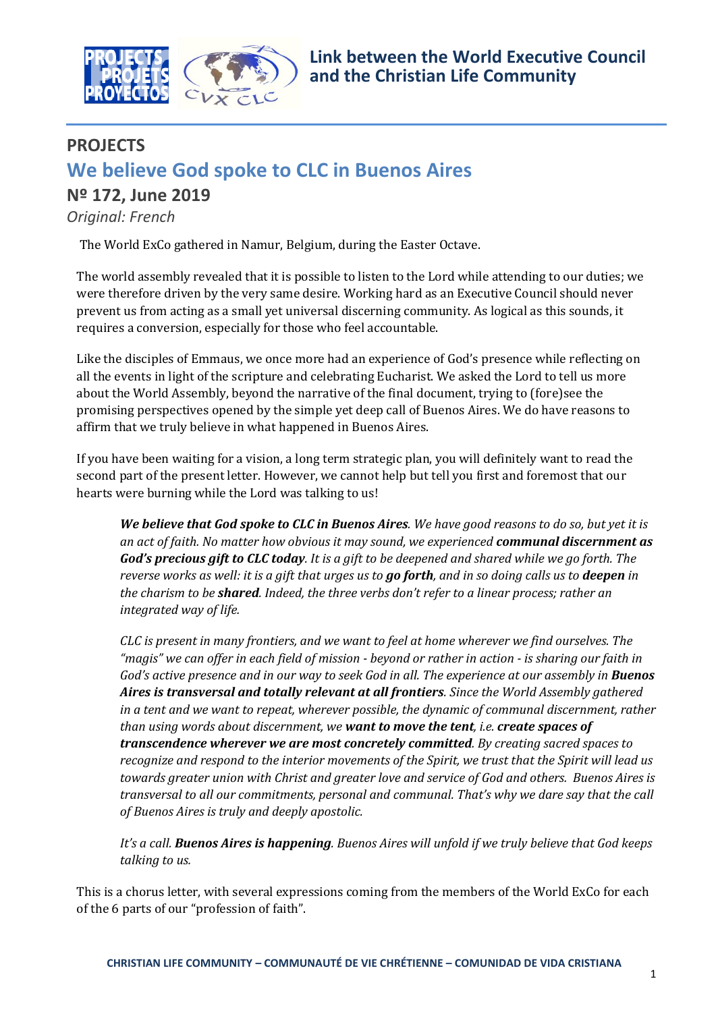

# **PROJECTS We believe God spoke to CLC in Buenos Aires Nº 172, June 2019**

# *Original: French*

The World ExCo gathered in Namur, Belgium, during the Easter Octave.

The world assembly revealed that it is possible to listen to the Lord while attending to our duties; we were therefore driven by the very same desire. Working hard as an Executive Council should never prevent us from acting as a small yet universal discerning community. As logical as this sounds, it requires a conversion, especially for those who feel accountable.

Like the disciples of Emmaus, we once more had an experience of God's presence while reflecting on all the events in light of the scripture and celebrating Eucharist. We asked the Lord to tell us more about the World Assembly, beyond the narrative of the final document, trying to (fore)see the promising perspectives opened by the simple yet deep call of Buenos Aires. We do have reasons to affirm that we truly believe in what happened in Buenos Aires.

If you have been waiting for a vision, a long term strategic plan, you will definitely want to read the second part of the present letter. However, we cannot help but tell you first and foremost that our hearts were burning while the Lord was talking to us!

*We believe that God spoke to CLC in Buenos Aires. We have good reasons to do so, but yet it is an act of faith. No matter how obvious it may sound, we experienced communal discernment as God's precious gift to CLC today. It is a gift to be deepened and shared while we go forth. The reverse works as well: it is a gift that urges us to go forth, and in so doing calls us to deepen in the charism to be shared. Indeed, the three verbs don't refer to a linear process; rather an integrated way of life.*

*CLC is present in many frontiers, and we want to feel at home wherever we find ourselves. The "magis" we can offer in each field of mission - beyond or rather in action - is sharing our faith in God's active presence and in our way to seek God in all. The experience at our assembly in Buenos Aires is transversal and totally relevant at all frontiers. Since the World Assembly gathered in a tent and we want to repeat, wherever possible, the dynamic of communal discernment, rather than using words about discernment, we want to move the tent, i.e. create spaces of transcendence wherever we are most concretely committed. By creating sacred spaces to recognize and respond to the interior movements of the Spirit, we trust that the Spirit will lead us towards greater union with Christ and greater love and service of God and others. Buenos Aires is transversal to all our commitments, personal and communal. That's why we dare say that the call of Buenos Aires is truly and deeply apostolic.*

*It's a call. Buenos Aires is happening. Buenos Aires will unfold if we truly believe that God keeps talking to us.*

This is a chorus letter, with several expressions coming from the members of the World ExCo for each of the 6 parts of our "profession of faith".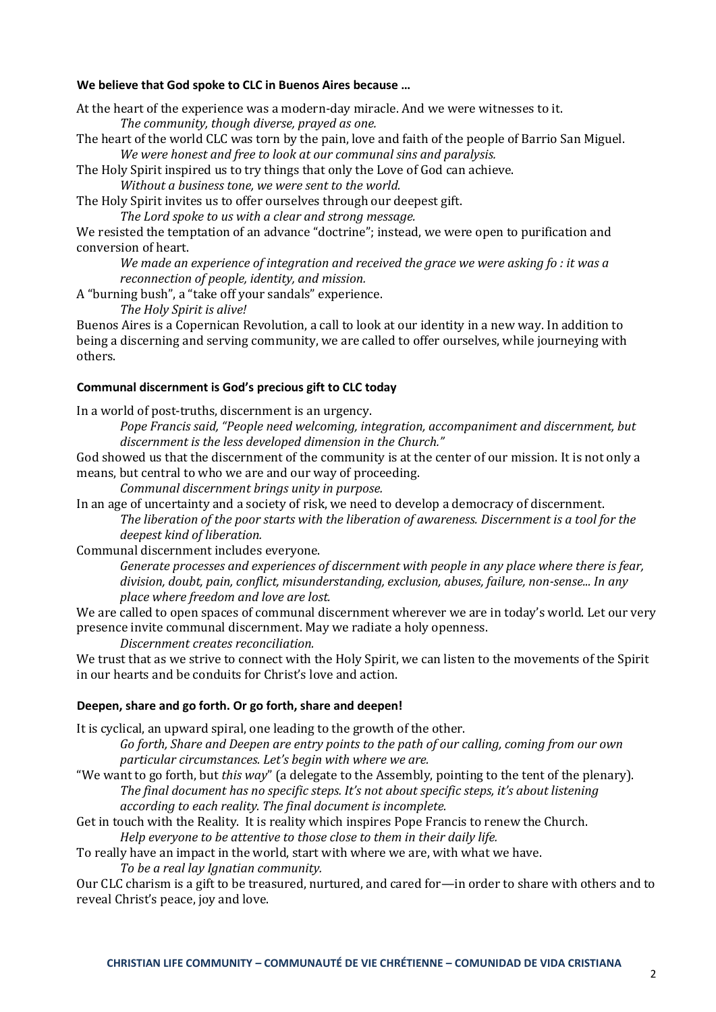## **We believe that God spoke to CLC in Buenos Aires because …**

At the heart of the experience was a modern-day miracle. And we were witnesses to it. *The community, though diverse, prayed as one.*

The heart of the world CLC was torn by the pain, love and faith of the people of Barrio San Miguel. *We were honest and free to look at our communal sins and paralysis.*

The Holy Spirit inspired us to try things that only the Love of God can achieve.

*Without a business tone, we were sent to the world.*

The Holy Spirit invites us to offer ourselves through our deepest gift.

*The Lord spoke to us with a clear and strong message.*

We resisted the temptation of an advance "doctrine"; instead, we were open to purification and conversion of heart.

*We made an experience of integration and received the grace we were asking fo : it was a reconnection of people, identity, and mission.*

A "burning bush", a "take off your sandals" experience.

*The Holy Spirit is alive!*

Buenos Aires is a Copernican Revolution, a call to look at our identity in a new way. In addition to being a discerning and serving community, we are called to offer ourselves, while journeying with others.

## **Communal discernment is God's precious gift to CLC today**

In a world of post-truths, discernment is an urgency.

*Pope Francis said, "People need welcoming, integration, accompaniment and discernment, but discernment is the less developed dimension in the Church."*

God showed us that the discernment of the community is at the center of our mission. It is not only a means, but central to who we are and our way of proceeding.

*Communal discernment brings unity in purpose.*

In an age of uncertainty and a society of risk, we need to develop a democracy of discernment. *The liberation of the poor starts with the liberation of awareness. Discernment is a tool for the deepest kind of liberation.*

Communal discernment includes everyone.

*Generate processes and experiences of discernment with people in any place where there is fear, division, doubt, pain, conflict, misunderstanding, exclusion, abuses, failure, non-sense... In any place where freedom and love are lost.*

We are called to open spaces of communal discernment wherever we are in today's world. Let our very presence invite communal discernment. May we radiate a holy openness.

*Discernment creates reconciliation.*

We trust that as we strive to connect with the Holy Spirit, we can listen to the movements of the Spirit in our hearts and be conduits for Christ's love and action.

## **Deepen, share and go forth. Or go forth, share and deepen!**

It is cyclical, an upward spiral, one leading to the growth of the other.

*Go forth, Share and Deepen are entry points to the path of our calling, coming from our own particular circumstances. Let's begin with where we are.*

- "We want to go forth, but *this way*" (a delegate to the Assembly, pointing to the tent of the plenary). *The final document has no specific steps. It's not about specific steps, it's about listening according to each reality. The final document is incomplete.*
- Get in touch with the Reality. It is reality which inspires Pope Francis to renew the Church. *Help everyone to be attentive to those close to them in their daily life.*

To really have an impact in the world, start with where we are, with what we have.

*To be a real lay Ignatian community.*

Our CLC charism is a gift to be treasured, nurtured, and cared for—in order to share with others and to reveal Christ's peace, joy and love.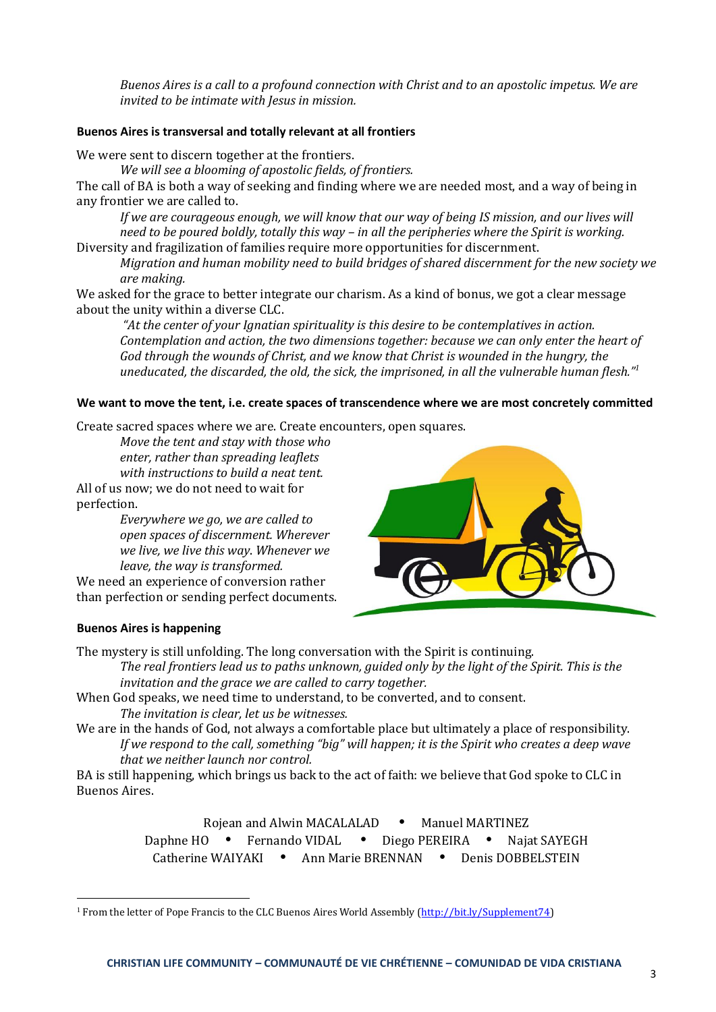*Buenos Aires is a call to a profound connection with Christ and to an apostolic impetus. We are invited to be intimate with Jesus in mission.*

## **Buenos Aires is transversal and totally relevant at all frontiers**

We were sent to discern together at the frontiers.

*We will see a blooming of apostolic fields, of frontiers.*

The call of BA is both a way of seeking and finding where we are needed most, and a way of being in any frontier we are called to.

*If we are courageous enough, we will know that our way of being IS mission, and our lives will need to be poured boldly, totally this way – in all the peripheries where the Spirit is working.* Diversity and fragilization of families require more opportunities for discernment.

*Migration and human mobility need to build bridges of shared discernment for the new society we are making.*

We asked for the grace to better integrate our charism. As a kind of bonus, we got a clear message about the unity within a diverse CLC.

*"At the center of your Ignatian spirituality is this desire to be contemplatives in action. Contemplation and action, the two dimensions together: because we can only enter the heart of God through the wounds of Christ, and we know that Christ is wounded in the hungry, the uneducated, the discarded, the old, the sick, the imprisoned, in all the vulnerable human flesh."<sup>1</sup>*

## **We want to move the tent, i.e. create spaces of transcendence where we are most concretely committed**

Create sacred spaces where we are. Create encounters, open squares.

*Move the tent and stay with those who enter, rather than spreading leaflets with instructions to build a neat tent.*

All of us now; we do not need to wait for perfection.

*Everywhere we go, we are called to open spaces of discernment. Wherever we live, we live this way*. *Whenever we leave, the way is transformed.*

We need an experience of conversion rather than perfection or sending perfect documents.



## **Buenos Aires is happening**

 $\overline{\phantom{0}}$ 

The mystery is still unfolding. The long conversation with the Spirit is continuing.

*The real frontiers lead us to paths unknown, guided only by the light of the Spirit. This is the invitation and the grace we are called to carry together.*

When God speaks, we need time to understand, to be converted, and to consent. *The invitation is clear, let us be witnesses.*

We are in the hands of God, not always a comfortable place but ultimately a place of responsibility. *If we respond to the call, something "big" will happen; it is the Spirit who creates a deep wave that we neither launch nor control.*

BA is still happening, which brings us back to the act of faith: we believe that God spoke to CLC in Buenos Aires.

> Rojean and Alwin MACALALAD • Manuel MARTINEZ Daphne HO • Fernando VIDAL • Diego PEREIRA • Najat SAYEGH Catherine WAIYAKI • Ann Marie BRENNAN • Denis DOBBELSTEIN

<sup>&</sup>lt;sup>1</sup> From the letter of Pope Francis to the CLC Buenos Aires World Assembly [\(http://bit.ly/Supplement74\)](http://bit.ly/Supplement74)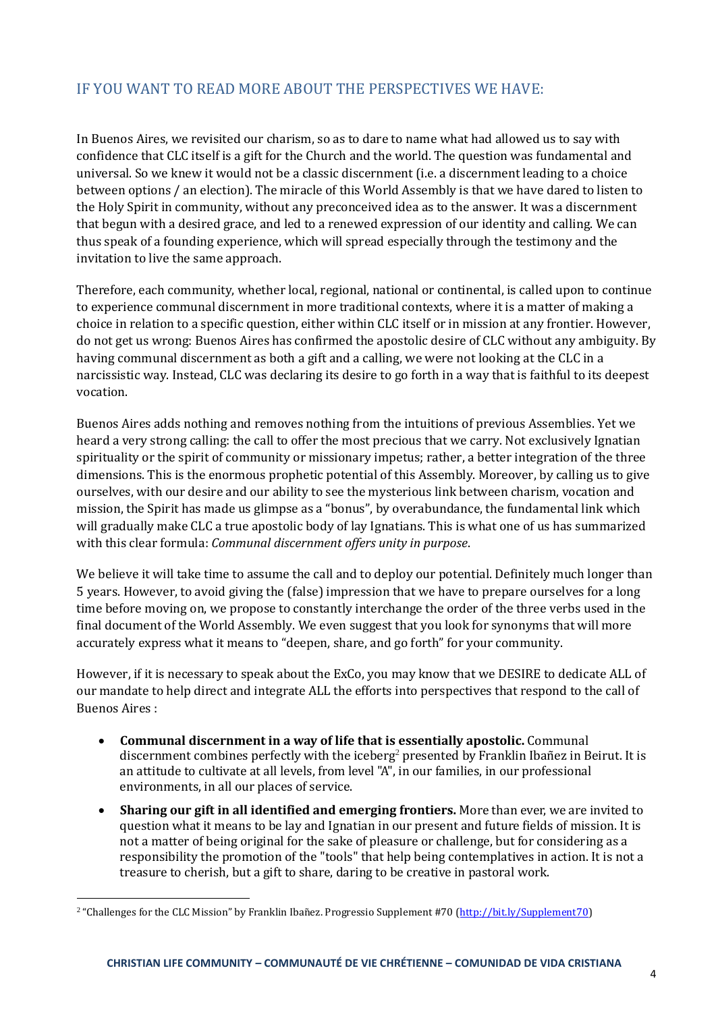# IF YOU WANT TO READ MORE ABOUT THE PERSPECTIVES WE HAVE:

In Buenos Aires, we revisited our charism, so as to dare to name what had allowed us to say with confidence that CLC itself is a gift for the Church and the world. The question was fundamental and universal. So we knew it would not be a classic discernment (i.e. a discernment leading to a choice between options / an election). The miracle of this World Assembly is that we have dared to listen to the Holy Spirit in community, without any preconceived idea as to the answer. It was a discernment that begun with a desired grace, and led to a renewed expression of our identity and calling. We can thus speak of a founding experience, which will spread especially through the testimony and the invitation to live the same approach.

Therefore, each community, whether local, regional, national or continental, is called upon to continue to experience communal discernment in more traditional contexts, where it is a matter of making a choice in relation to a specific question, either within CLC itself or in mission at any frontier. However, do not get us wrong: Buenos Aires has confirmed the apostolic desire of CLC without any ambiguity. By having communal discernment as both a gift and a calling, we were not looking at the CLC in a narcissistic way. Instead, CLC was declaring its desire to go forth in a way that is faithful to its deepest vocation.

Buenos Aires adds nothing and removes nothing from the intuitions of previous Assemblies. Yet we heard a very strong calling: the call to offer the most precious that we carry. Not exclusively Ignatian spirituality or the spirit of community or missionary impetus; rather, a better integration of the three dimensions. This is the enormous prophetic potential of this Assembly. Moreover, by calling us to give ourselves, with our desire and our ability to see the mysterious link between charism, vocation and mission, the Spirit has made us glimpse as a "bonus", by overabundance, the fundamental link which will gradually make CLC a true apostolic body of lay Ignatians. This is what one of us has summarized with this clear formula: *Communal discernment offers unity in purpose*.

We believe it will take time to assume the call and to deploy our potential. Definitely much longer than 5 years. However, to avoid giving the (false) impression that we have to prepare ourselves for a long time before moving on, we propose to constantly interchange the order of the three verbs used in the final document of the World Assembly. We even suggest that you look for synonyms that will more accurately express what it means to "deepen, share, and go forth" for your community.

However, if it is necessary to speak about the ExCo, you may know that we DESIRE to dedicate ALL of our mandate to help direct and integrate ALL the efforts into perspectives that respond to the call of Buenos Aires :

- **Communal discernment in a way of life that is essentially apostolic.** Communal discernment combines perfectly with the iceberg<sup>2</sup> presented by Franklin Ibañez in Beirut. It is an attitude to cultivate at all levels, from level "A", in our families, in our professional environments, in all our places of service.
- **Sharing our gift in all identified and emerging frontiers.** More than ever, we are invited to question what it means to be lay and Ignatian in our present and future fields of mission. It is not a matter of being original for the sake of pleasure or challenge, but for considering as a responsibility the promotion of the "tools" that help being contemplatives in action. It is not a treasure to cherish, but a gift to share, daring to be creative in pastoral work.

 $\overline{\phantom{0}}$ 

<sup>&</sup>lt;sup>2</sup> "Challenges for the CLC Mission" by Franklin Ibañez. Progressio Supplement #70 [\(http://bit.ly/Supplement70\)](http://bit.ly/Supplement70)